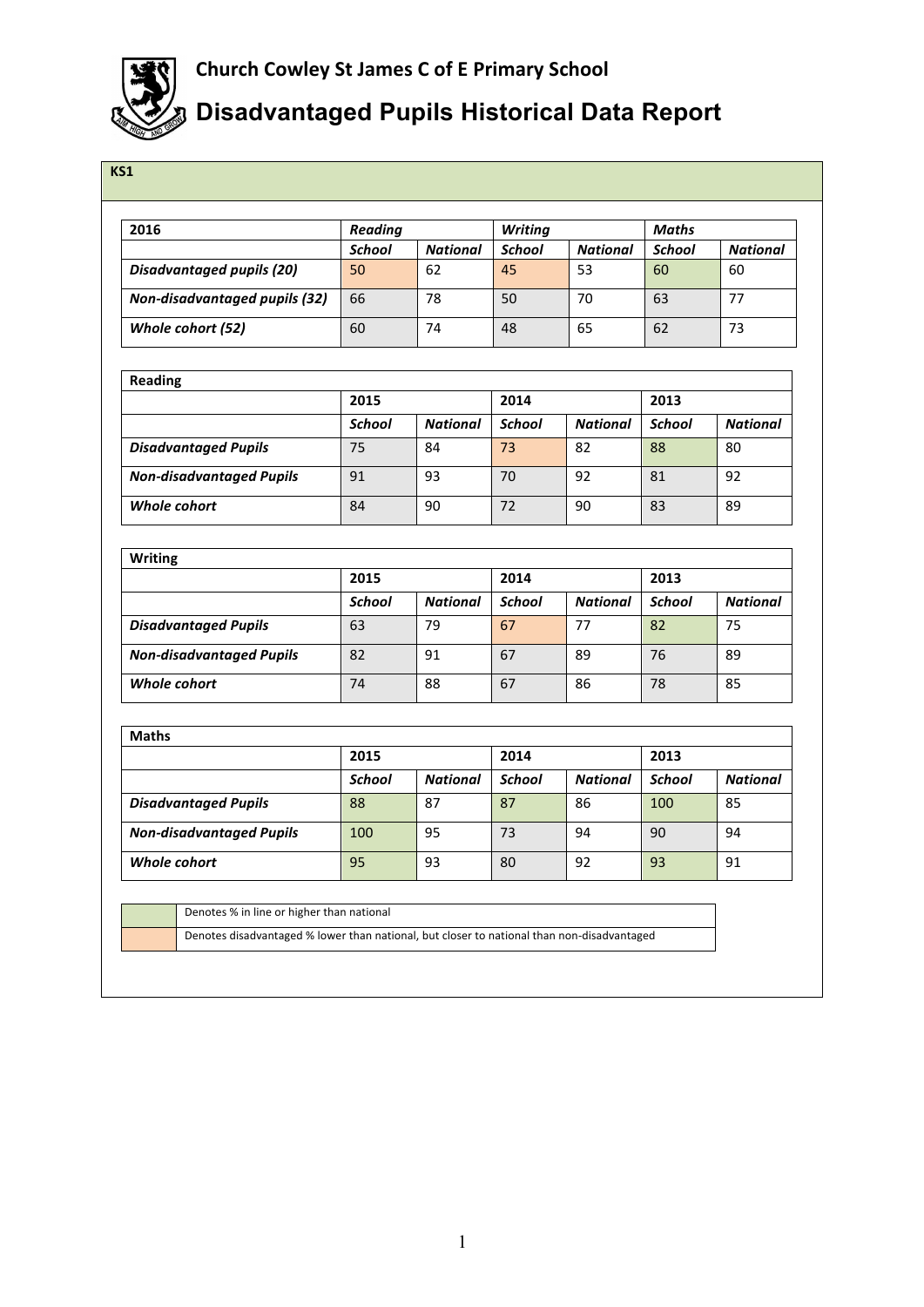

## **Disadvantaged Pupils Historical Data Report**

| KS1                              |               |                 |                |                 |               |                 |  |  |
|----------------------------------|---------------|-----------------|----------------|-----------------|---------------|-----------------|--|--|
|                                  |               |                 |                |                 |               |                 |  |  |
| 2016                             | Reading       |                 | <b>Writing</b> |                 | <b>Maths</b>  |                 |  |  |
|                                  | <b>School</b> | <b>National</b> | <b>School</b>  | <b>National</b> | <b>School</b> | <b>National</b> |  |  |
| <b>Disadvantaged pupils (20)</b> | 50            | 62              | 45             | 53              | 60            | 60              |  |  |
| Non-disadvantaged pupils (32)    | 66            | 78              | 50             | 70              | 63            | 77              |  |  |
| Whole cohort (52)                | 60            | 74              | 48             | 65              | 62            | 73              |  |  |
|                                  |               |                 |                |                 |               |                 |  |  |
| <b>Reading</b>                   |               |                 |                |                 |               |                 |  |  |
|                                  | 2015          |                 | 2014           |                 | 2013          |                 |  |  |
|                                  | <b>School</b> | <b>National</b> | <b>School</b>  | <b>National</b> | <b>School</b> | <b>National</b> |  |  |
| <b>Disadvantaged Pupils</b>      | 75            | 84              | 73             | 82              | 88            | 80              |  |  |
| <b>Non-disadvantaged Pupils</b>  | 91            | 93              | 70             | 92              | 81            | 92              |  |  |
| <b>Whole cohort</b>              | 84            | 90              | 72             | 90              | 83            | 89              |  |  |
|                                  |               |                 |                |                 |               |                 |  |  |
| <b>Writing</b>                   | 2015          |                 | 2014           |                 | 2013          |                 |  |  |
|                                  | <b>School</b> | <b>National</b> | <b>School</b>  | <b>National</b> | <b>School</b> | <b>National</b> |  |  |
| <b>Disadvantaged Pupils</b>      | 63            | 79              | 67             | 77              | 82            | 75              |  |  |
| <b>Non-disadvantaged Pupils</b>  | 82            | 91              | 67             | 89              | 76            | 89              |  |  |
| Whole cohort                     | 74            | 88              | 67             | 86              | 78            | 85              |  |  |
|                                  |               |                 |                |                 |               |                 |  |  |
| <b>Maths</b>                     |               |                 |                |                 |               |                 |  |  |
|                                  | 2015          |                 | 2014           |                 | 2013          |                 |  |  |
|                                  | <b>School</b> | <b>National</b> | <b>School</b>  | <b>National</b> | <b>School</b> | <b>National</b> |  |  |
| <b>Disadvantaged Pupils</b>      | 88            | 87              | 87             | 86              | 100           | 85              |  |  |

Denotes % in line or higher than national

Denotes disadvantaged % lower than national, but closer to national than non-disadvantaged

**Non-disadvantaged Pupils** 100 95 73 94 90 94 **195** 93 80 92 93 91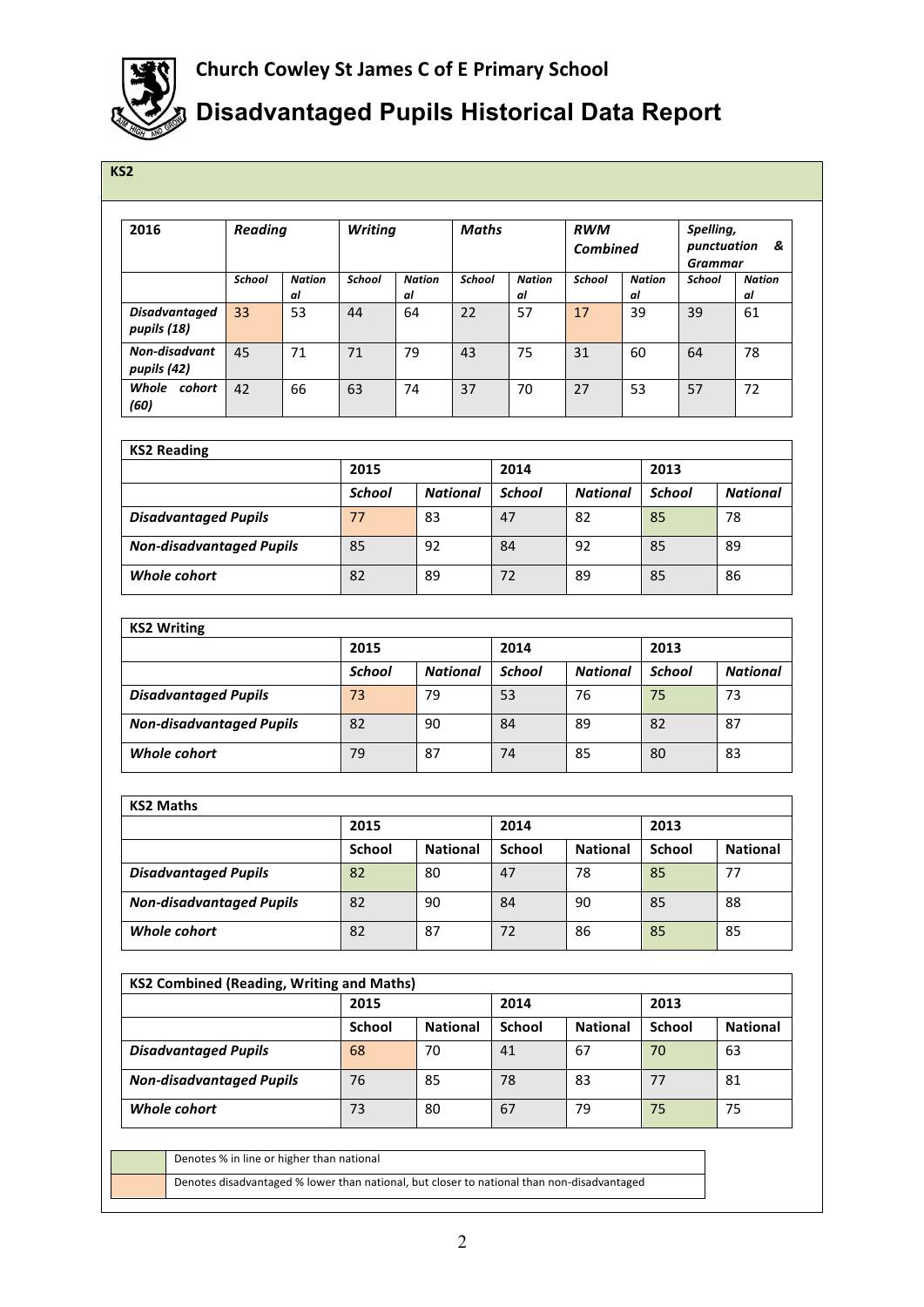

## **Disadvantaged Pupils Historical Data Report**

| 2016                                             | <b>Reading</b> |                     | <b>Writing</b> |                     |                 | <b>Maths</b>        | <b>RWM</b><br><b>Combined</b> |                                  | Spelling,<br><b>Grammar</b> | punctuation<br>&    |  |
|--------------------------------------------------|----------------|---------------------|----------------|---------------------|-----------------|---------------------|-------------------------------|----------------------------------|-----------------------------|---------------------|--|
|                                                  | School         | <b>Nation</b><br>al | <b>School</b>  | <b>Nation</b><br>al | School          | <b>Nation</b><br>al | School                        | <b>Nation</b><br>al              | <b>School</b>               | <b>Nation</b><br>al |  |
| <b>Disadvantaged</b><br>pupils (18)              | 33             | 53                  | 44             | 64                  | 22              | 57                  | 17                            | 39                               | 39                          | 61                  |  |
| Non-disadvant<br>pupils (42)                     | 45             | 71                  | 71             | 79                  | 43              | 75                  | 31                            | 60                               | 64                          | 78                  |  |
| Whole cohort<br>(60)                             | 42             | 66                  | 63             | 74                  | 37              | 70                  | 27                            | 53                               | 57                          | 72                  |  |
| <b>KS2 Reading</b>                               |                |                     |                |                     |                 |                     |                               |                                  |                             |                     |  |
|                                                  |                |                     | 2015           |                     |                 | 2014                |                               | 2013                             |                             |                     |  |
|                                                  |                |                     | <b>School</b>  |                     | <b>National</b> | <b>School</b>       | <b>National</b>               |                                  | <b>School</b>               | <b>National</b>     |  |
| <b>Disadvantaged Pupils</b>                      |                |                     | 77             | 83                  |                 | 47                  | 82                            | 85                               |                             | 78                  |  |
| <b>Non-disadvantaged Pupils</b>                  |                |                     | 85             | 92                  |                 | 84                  | 92                            | 85                               |                             | 89                  |  |
| Whole cohort                                     |                |                     | 82             | 89                  |                 | 72                  | 89                            | 85                               | 86                          |                     |  |
| <b>KS2 Writing</b>                               |                |                     |                |                     |                 |                     |                               |                                  |                             |                     |  |
|                                                  |                |                     | 2015           |                     |                 | 2014                |                               | 2013                             |                             |                     |  |
|                                                  |                |                     | <b>School</b>  |                     | <b>National</b> | <b>School</b>       |                               | <b>National</b><br><b>School</b> |                             | <b>National</b>     |  |
| <b>Disadvantaged Pupils</b>                      |                |                     | 73             | 79                  |                 | 53                  | 76                            | 75                               |                             | 73                  |  |
| <b>Non-disadvantaged Pupils</b>                  |                |                     | 82             | 90                  |                 | 84                  | 89                            | 82                               |                             | 87                  |  |
| Whole cohort                                     |                |                     | 79             | 87                  |                 | 74                  | 85                            | 80                               |                             | 83                  |  |
| <b>KS2 Maths</b>                                 |                |                     |                |                     |                 |                     |                               |                                  |                             |                     |  |
|                                                  |                |                     | 2015           |                     |                 | 2014                |                               |                                  | 2013                        |                     |  |
|                                                  |                |                     | <b>School</b>  |                     | <b>National</b> | <b>School</b>       | <b>National</b>               |                                  | <b>School</b>               | <b>National</b>     |  |
| <b>Disadvantaged Pupils</b>                      |                |                     | 82             | 80                  |                 | 47                  | 78                            | 85                               |                             | 77                  |  |
| <b>Non-disadvantaged Pupils</b>                  |                |                     | 82             | 90                  |                 | 84                  | 90                            | 85                               |                             | 88                  |  |
| Whole cohort                                     |                |                     | 82             | 87                  |                 | 72                  |                               | 85                               |                             | 85                  |  |
| <b>KS2 Combined (Reading, Writing and Maths)</b> |                |                     |                |                     |                 |                     |                               |                                  |                             |                     |  |
|                                                  |                |                     | 2015           |                     |                 | 2014                |                               | 2013                             |                             |                     |  |
|                                                  |                |                     | School         |                     | <b>National</b> | <b>School</b>       | <b>National</b>               |                                  | <b>School</b>               | <b>National</b>     |  |
| <b>Disadvantaged Pupils</b>                      |                |                     | 68             | 70                  |                 | 41                  | 67                            | 70                               |                             | 63                  |  |
| <b>Non-disadvantaged Pupils</b>                  |                |                     | 76             | 85                  |                 | 78                  | 83                            | 77                               |                             | 81                  |  |
| Whole cohort                                     |                | 73                  | 80             |                     | 67              | 79                  | 75                            |                                  | 75                          |                     |  |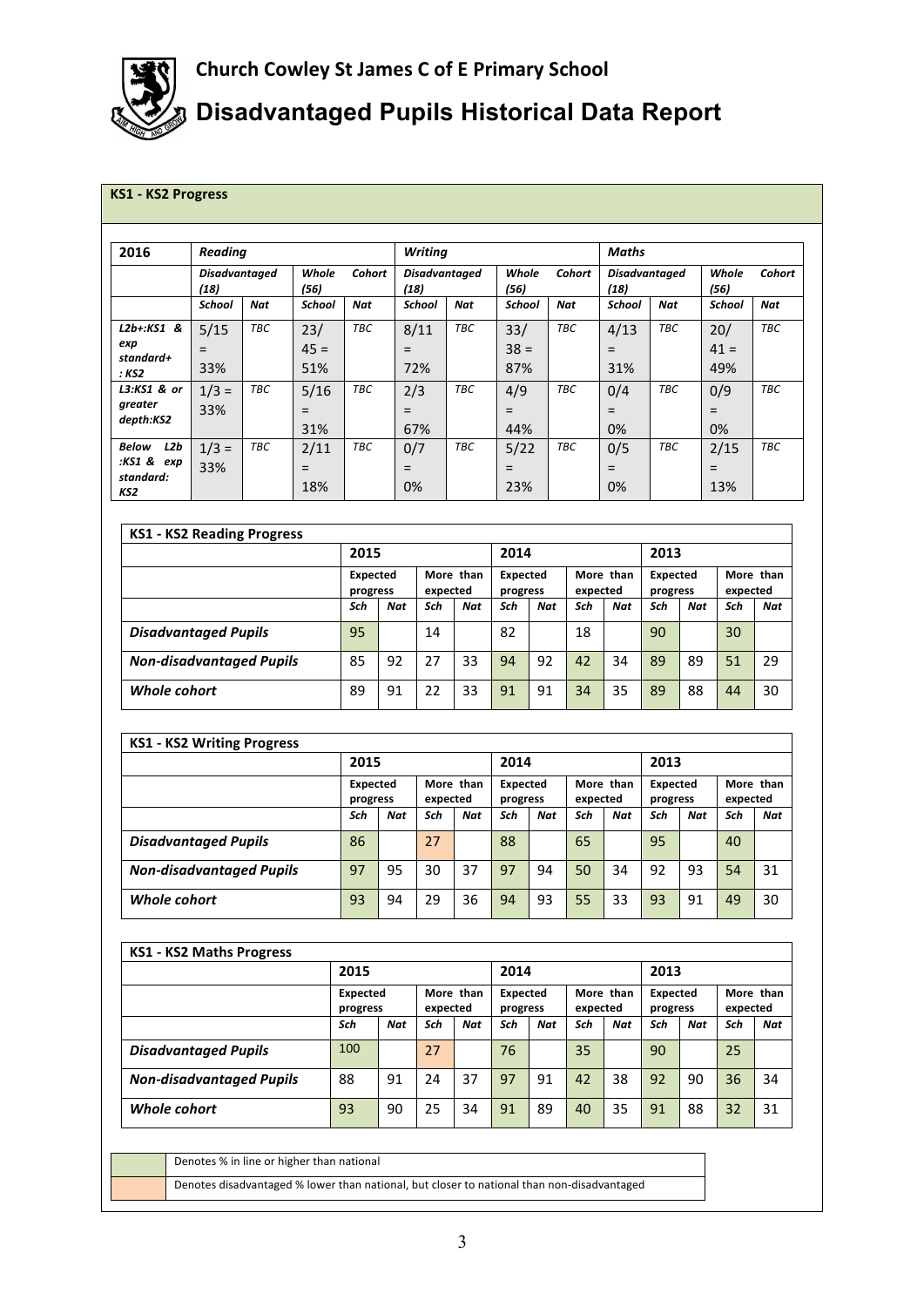

## **Disadvantaged Pupils Historical Data Report**

## **KS1 - KS2 Progress**

| 2016                                                  | <b>Reading</b>        |     |                      |            | <b>Writing</b>        |     |                         |     | Maths                        |     |                      |        |  |  |
|-------------------------------------------------------|-----------------------|-----|----------------------|------------|-----------------------|-----|-------------------------|-----|------------------------------|-----|----------------------|--------|--|--|
|                                                       | Disadvantaged<br>(18) |     | Whole<br>(56)        | Cohort     | Disadvantaged<br>(18) |     | Whole<br>Cohort<br>(56) |     | <b>Disadvantaged</b><br>(18) |     | Whole<br>(56)        | Cohort |  |  |
|                                                       | School                | Nat | <b>School</b>        | <b>Nat</b> | <b>School</b>         | Nat | School                  | Nat | <b>School</b>                | Nat | School               | Nat    |  |  |
| $L2b+:KS1$ &<br>exp<br>standard+<br>: KS2             | 5/15<br>$=$<br>33%    | TBC | 23/<br>$45 =$<br>51% | TBC        | 8/11<br>$=$<br>72%    | TBC | 33/<br>$38 =$<br>87%    | TBC | 4/13<br>$=$<br>31%           | TBC | 20/<br>$41 =$<br>49% | TBC    |  |  |
| L3:KS1 & or<br>greater<br>depth:KS2                   | $1/3 =$<br>33%        | TBC | 5/16<br>$=$<br>31%   | TBC        | 2/3<br>$=$<br>67%     | TBC | 4/9<br>$=$<br>44%       | TBC | 0/4<br>$=$<br>0%             | TBC | 0/9<br>$=$<br>0%     | TBC    |  |  |
| <b>Below</b><br>L2b<br>:KS1 & exp<br>standard:<br>KS2 | $1/3 =$<br>33%        | TBC | 2/11<br>$=$<br>18%   | TBC        | 0/7<br>$=$<br>0%      | TBC | 5/22<br>$=$<br>23%      | TBC | 0/5<br>$=$<br>0%             | TBC | 2/15<br>$=$<br>13%   | TBC    |  |  |

| <b>KS1 - KS2 Reading Progress</b> |                             |     |                       |     |                             |     |                       |     |                             |     |                       |     |  |
|-----------------------------------|-----------------------------|-----|-----------------------|-----|-----------------------------|-----|-----------------------|-----|-----------------------------|-----|-----------------------|-----|--|
|                                   | 2015                        |     |                       |     | 2014                        |     |                       |     | 2013                        |     |                       |     |  |
|                                   | <b>Expected</b><br>progress |     | More than<br>expected |     | <b>Expected</b><br>progress |     | More than<br>expected |     | <b>Expected</b><br>progress |     | More than<br>expected |     |  |
|                                   | Sch                         | Nat | Sch                   | Nat | Sch                         | Nat | Sch                   | Nat | Sch                         | Nat | Sch                   | Nat |  |
| <b>Disadvantaged Pupils</b>       | 95                          |     | 14                    |     | 82                          |     | 18                    |     | 90                          |     | 30                    |     |  |
| <b>Non-disadvantaged Pupils</b>   | 85                          | 92  | 27                    | 33  | 94                          | 92  | 42                    | 34  | 89                          | 89  | 51                    | 29  |  |
| Whole cohort                      | 89                          | 91  | 22                    | 33  | 91                          | 91  | 34                    | 35  | 89                          | 88  | 44                    | 30  |  |

| <b>KS1 - KS2 Writing Progress</b> |                             |     |                       |            |                      |            |                       |     |                             |            |                       |            |  |
|-----------------------------------|-----------------------------|-----|-----------------------|------------|----------------------|------------|-----------------------|-----|-----------------------------|------------|-----------------------|------------|--|
|                                   | 2015                        |     |                       |            | 2014                 |            |                       |     | 2013                        |            |                       |            |  |
|                                   | <b>Expected</b><br>progress |     | More than<br>expected |            | Expected<br>progress |            | More than<br>expected |     | <b>Expected</b><br>progress |            | More than<br>expected |            |  |
|                                   | Sch                         | Nat | Sch                   | <b>Nat</b> | Sch                  | <b>Nat</b> | Sch                   | Nat | Sch                         | <b>Nat</b> | Sch                   | <b>Nat</b> |  |
| <b>Disadvantaged Pupils</b>       | 86                          |     | 27                    |            | 88                   |            | 65                    |     | 95                          |            | 40                    |            |  |
| <b>Non-disadvantaged Pupils</b>   | 97                          | 95  | 30                    | 37         | 97                   | 94         | 50                    | 34  | 92                          | 93         | 54                    | 31         |  |
| Whole cohort                      | 93                          | 94  | 29                    | 36         | 94                   | 93         | 55                    | 33  | 93                          | 91         | 49                    | 30         |  |

| <b>KS1 - KS2 Maths Progress</b> |                             |     |                       |     |                             |     |                       |            |                      |            |                       |            |  |
|---------------------------------|-----------------------------|-----|-----------------------|-----|-----------------------------|-----|-----------------------|------------|----------------------|------------|-----------------------|------------|--|
|                                 | 2015                        |     |                       |     | 2014                        |     |                       |            | 2013                 |            |                       |            |  |
|                                 | <b>Expected</b><br>progress |     | More than<br>expected |     | <b>Expected</b><br>progress |     | More than<br>expected |            | Expected<br>progress |            | More than<br>expected |            |  |
|                                 | Sch                         | Nat | Sch                   | Nat | Sch                         | Nat | Sch                   | <b>Nat</b> | Sch                  | <b>Nat</b> | Sch                   | <b>Nat</b> |  |
| <b>Disadvantaged Pupils</b>     | 100                         |     | 27                    |     | 76                          |     | 35                    |            | 90                   |            | 25                    |            |  |
| <b>Non-disadvantaged Pupils</b> | 88                          | 91  | 24                    | 37  | 97                          | 91  | 42                    | 38         | 92                   | 90         | 36                    | 34         |  |
| Whole cohort                    | 93                          | 90  | 25                    | 34  | 91                          | 89  | 40                    | 35         | 91                   | 88         | 32                    | 31         |  |

Denotes % in line or higher than national Denotes disadvantaged % lower than national, but closer to national than non-disadvantaged